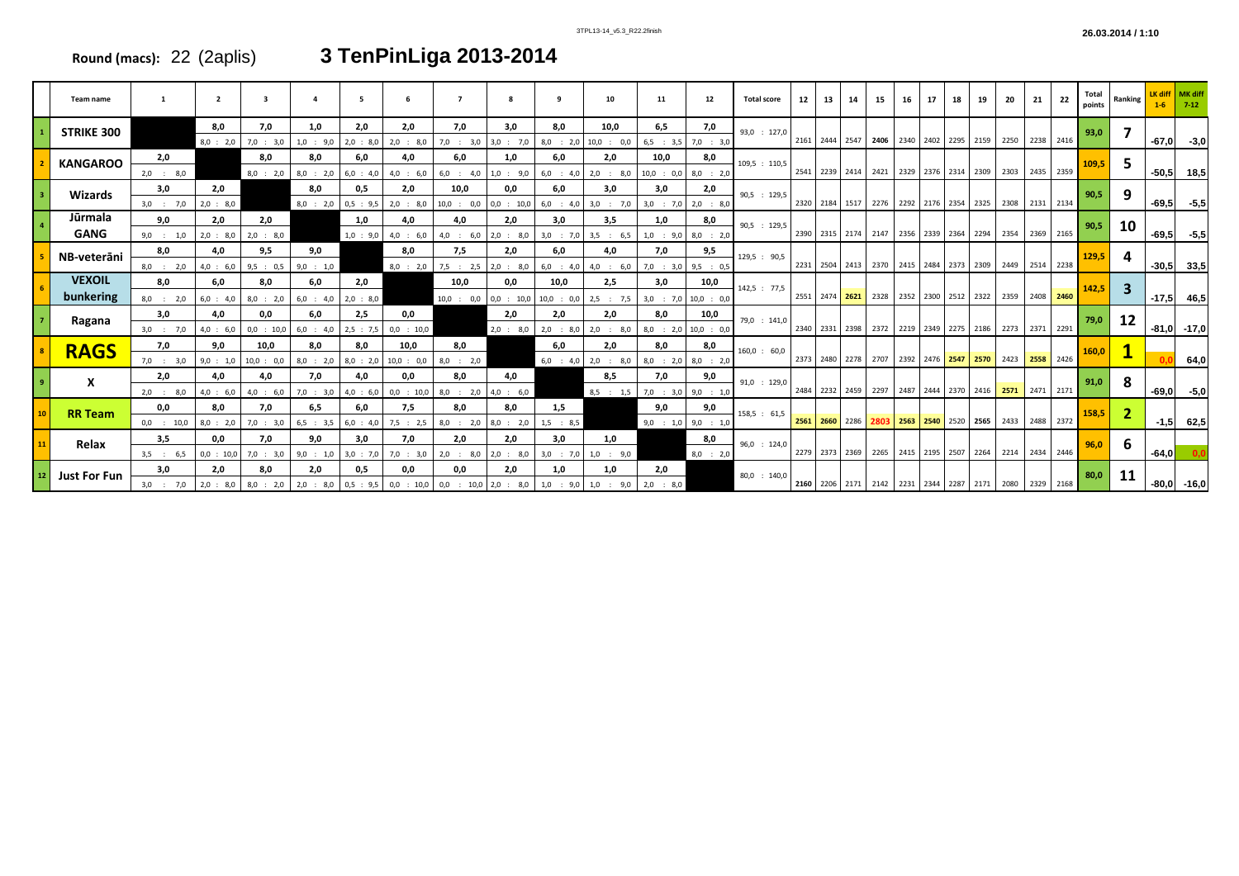| 3TPL13-14 v5.3 R22.2finish | 26.03.2014 / 1:10 |
|----------------------------|-------------------|
|                            |                   |

|                     | Team name                                                                                                                           |              | $\overline{2}$ | 3            |             |             |              |                           | 8           |                         | 10           | 11                    | 12                    | <b>Total score</b> | 12             | 13                                      | 14                                      | 15                                      | 16 | 17                  |                          | 19             | 20             |                | Total<br>points | Ranking        | $1-6$           | $7-12$          |       |  |  |  |
|---------------------|-------------------------------------------------------------------------------------------------------------------------------------|--------------|----------------|--------------|-------------|-------------|--------------|---------------------------|-------------|-------------------------|--------------|-----------------------|-----------------------|--------------------|----------------|-----------------------------------------|-----------------------------------------|-----------------------------------------|----|---------------------|--------------------------|----------------|----------------|----------------|-----------------|----------------|-----------------|-----------------|-------|--|--|--|
| <b>STRIKE 300</b>   |                                                                                                                                     |              | 8,0            | 7,0          | 1,0         | 2,0         | 2,0          | 7,0                       | 3,0         | 8,0                     | 10,0         | 6,5                   | 7,0                   | 93,0 : 127,0       |                |                                         |                                         |                                         |    |                     |                          |                |                |                | 93,0            |                |                 |                 |       |  |  |  |
|                     |                                                                                                                                     |              | 8,0 : 2,0      | 7,0 : 3,0    | $1,0$ : 9,0 | 2,0 : 8,0   | 2,0 : 8,0    | $7,0$ : 3,0 3,0 : 7,0     |             | $8,0$ : 2,0             | $10,0$ : 0,0 |                       | $6,5$ : 3,5 7,0 : 3,0 |                    |                | 2161 2444 2547                          |                                         | 2406 2340 2402 2295 2159                |    |                     |                          |                | 2250 2238 2416 |                |                 |                | $-67,0$         | $-3,0$          |       |  |  |  |
|                     | <b>KANGAROO</b>                                                                                                                     | 2,0          |                | 8,0          | 8,0         | 6,0         | 4,0          | 6,0                       | 1,0         | 6,0                     | 2,0          | 10,0                  | 8,0                   | 109.5 : 110.5      |                |                                         |                                         |                                         |    |                     |                          |                |                |                |                 |                |                 |                 | 109,5 |  |  |  |
|                     |                                                                                                                                     | $2,0$ : 8,0  |                | $8,0$ : 2,0  | 8,0 : 2,0   | $6,0$ : 4,0 | $4,0$ : 6,0  | $6,0$ : 4,0               | 1.0 : 9.0   | $6,0$ : 4,0             | $2,0$ : 8,0  | $10,0$ : 0,0          | $8,0$ : 2,0           |                    |                | 2541 2239 2414                          |                                         | 2421                                    |    | 2329 2376 2314      |                          | 2309           | 2303 2435 2359 |                |                 |                |                 | $-50,5$ 18,5    |       |  |  |  |
|                     | Wizards                                                                                                                             | 3,0          | 2,0            |              | 8,0         | 0,5         | 2,0          | 10,0                      | 0,0         | 6,0                     | 3,0          | 3,0                   | 2,0                   | 90,5 : 129,5       |                |                                         |                                         |                                         |    |                     |                          |                |                |                | 90,5            | 9              |                 |                 |       |  |  |  |
|                     |                                                                                                                                     | $3,0$ : 7,0  | 2,0 : 8,0      |              | 8,0 : 2,0   | 0,5 : 9,5   | 2,0 : 8,0    | $10,0$ : $0,0$ 0,0 : 10,0 |             | $6,0$ : 4,0             | $3,0$ : 7,0  |                       | $3,0$ : 7,0 2,0 : 8,0 |                    |                |                                         |                                         | 2320 2184 1517 2276 2292 2176 2354      |    |                     |                          | 2325           | 2308 2131 2134 |                |                 |                | $-69,5$         | -5,5            |       |  |  |  |
|                     | Jūrmala                                                                                                                             | 9,0          | 2.0            | 2,0          |             | 1,0         | 4,0          | 4,0                       | 2,0         | 3,0                     | 3,5          | 1,0                   | 8,0                   | 90,5 : 129,5       |                |                                         |                                         |                                         |    |                     |                          |                |                |                | 90,5            | 10             |                 |                 |       |  |  |  |
|                     | <b>GANG</b>                                                                                                                         | $9,0$ : 1,0  | 2,0 : 8,0      | 2,0 : 8,0    |             | $1,0$ : 9,0 | $4,0$ : 6,0  | $4,0$ : 6,0               | $2,0$ : 8,0 | $3,0$ : 7,0             | 3,5 : 6,5    | $1,0$ : 9,0           | $8,0$ : 2,0           |                    |                | 2390 2315 2174                          |                                         | 2147                                    |    | 2356 2339 2364      |                          | 2294           | 2354 2369 2165 |                |                 |                |                 | $-69,5$ $-5,5$  |       |  |  |  |
|                     | NB-veterāni                                                                                                                         | 8,0          | 4,0            | 9,5          | 9,0         |             | 8,0          | 7,5                       | 2,0         | 6,0                     | 4,0          | 7,0                   | 9,5                   | 129,5 : 90,5       |                |                                         |                                         |                                         |    |                     |                          |                |                |                |                 | 129,5          |                 |                 |       |  |  |  |
|                     |                                                                                                                                     | $8,0$ : 2,0  | 4,0 : 6,0      | 9,5 : 0,5    | 9,0 : 1,0   |             | $8,0$ : 2,0  | $7,5$ : 2,5 2,0 : 8,0     |             | 6,0<br>: 4.0            | $4,0$ : 6,0  | $7,0$ : 3,0           | 9,5 : 0,5             |                    |                | 2231 2504 2413 2370 2415 2484 2373 2309 |                                         |                                         |    |                     |                          |                | 2449 2514 2238 |                |                 |                |                 | $-30,5$ 33,5    |       |  |  |  |
|                     | <b>VEXOIL</b>                                                                                                                       | 8,0          | 6.0            | 8.0          | 6,0         | 2,0         |              | 10,0                      | 0,0         | 10.0                    | 2,5          | 3,0                   | 10,0                  | 142,5 : 77,5       | 2551 2474 2621 |                                         |                                         |                                         |    |                     |                          |                |                |                | 142,5           |                |                 |                 |       |  |  |  |
|                     | bunkering                                                                                                                           | $8,0$ : 2,0  | 6,0 : 4,0      | 8,0 : 2,0    | $6,0$ : 4,0 | 2,0 : 8,0   |              | $10,0$ : 0,0 0,0 : 10,0   |             | 10,0 : 0,0              | $2,5$ : 7,5  | $3,0$ : 7,0           | $10,0$ : 0,0          |                    |                |                                         |                                         | 2328                                    |    | 2352 2300 2512 2322 |                          |                | 2359 2408 2460 |                |                 |                |                 | $-17,5$ 46,5    |       |  |  |  |
|                     | Ragana                                                                                                                              | 3,0          | 4.0            | 0.0          | 6.0         | 2,5         | 0.0          |                           | 2.0         | 2.0                     | 2,0          | 8,0                   | 10,0                  | 79,0 : 141,0       |                |                                         |                                         |                                         |    |                     |                          |                |                |                | 79,0            | 12             |                 |                 |       |  |  |  |
|                     |                                                                                                                                     | $3,0$ : 7,0  | 4,0 : 6,0      | $0,0$ : 10,0 | $6,0$ : 4,0 | 2,5 : 7,5   | $0,0$ : 10,0 |                           | 2,0 : 8,0   | 2,0<br>$\therefore$ 8.0 | $2,0$ : 8,0  | $8,0$ : 2,0           | $10,0$ : $0,0$        |                    | 2340 2331 2398 |                                         |                                         | 2372                                    |    | 2219 2349 2275 2186 |                          |                | 2273 2371 2291 |                |                 |                |                 | $-81,0$ $-17,0$ |       |  |  |  |
|                     | <b>RAGS</b>                                                                                                                         | 7,0          | 9,0            | 10,0         | 8,0         | 8,0         | 10,0         | 8,0                       |             | 6,0                     | 2,0          | 8,0                   | 8,0                   | $160,0$ : 60,0     |                |                                         |                                         |                                         |    |                     |                          |                |                |                | 160,0           |                |                 |                 |       |  |  |  |
|                     |                                                                                                                                     | $7,0$ : 3,0  | 9,0 : 1,0      | $10,0$ : 0,0 | 8,0 : 2,0   | 8,0 : 2,0   | $10,0$ : 0,0 | 8,0<br>: 2,0              |             | $6,0$ : 4,0             | $2,0$ : 8,0  | $8,0$ : 2,0           | $8,0$ : 2,0           |                    |                |                                         |                                         | 2373 2480 2278 2707 2392 2476 2547 2570 |    |                     |                          |                | 2423 2558 2426 |                |                 |                |                 | 64,0            |       |  |  |  |
|                     | X                                                                                                                                   | 2,0          | 4,0            | 4,0          | 7,0         | 4,0         | 0,0          | 8,0                       | 4,0         |                         | 8,5          | 7,0                   | 9,0                   | 91,0 : 129,0       |                |                                         |                                         |                                         |    |                     |                          |                |                |                | 91,0            | 8              |                 |                 |       |  |  |  |
|                     |                                                                                                                                     | $2,0$ : 8,0  | 4,0 : 6,0      | $4,0$ : 6,0  | $7,0$ : 3,0 | 4,0 : 6,0   | $0,0$ : 10,0 | $8,0$ : 2,0 4,0 : 6,0     |             |                         | $8,5$ : 1,5  | $7,0$ : 3,0 9,0 : 1,0 |                       |                    | 2484           | 2232 2459                               |                                         | 2297                                    |    | 2487 2444 2370 2416 |                          |                | 2571 2471 2171 |                |                 |                | -69,0           | $-5,0$          |       |  |  |  |
|                     | <b>RR Team</b>                                                                                                                      | 0,0          | 8,0            | 7,0          | 6,5         | 6,0         | 7,5          | 8,0                       | 8,0         | 1,5                     |              | 9,0                   | 9,0                   | 158,5 : 61,5       |                |                                         |                                         |                                         |    |                     |                          |                |                |                | 158,5           | $\overline{2}$ |                 |                 |       |  |  |  |
|                     |                                                                                                                                     | $0,0$ : 10,0 | 8,0 : 2,0      | $7,0$ : 3,0  | $6,5$ : 3,5 | $6,0$ : 4,0 | 7,5 : 2,5    | $8,0$ : 2,0 $8,0$ : 2,0   |             | $1,5$ : 8,5             |              | 9,0 : 1,0             | 9,0 : 1,0             |                    |                | 2561 2660 2286                          |                                         | 2803                                    |    | 2563 2540 2520      |                          | 2565           | 2433 2488 2372 |                |                 |                |                 | $-1,5$ 62,5     |       |  |  |  |
|                     | Relax                                                                                                                               | 3,5          | 0,0            | 7,0          | 9,0         | 3,0         | 7,0          | 2.0                       | 2,0         | 3,0                     | 1,0          |                       | 8,0                   | 96,0 : 124,0       |                |                                         |                                         |                                         |    |                     |                          |                |                |                | 96,0            | -6             |                 |                 |       |  |  |  |
|                     |                                                                                                                                     | $3,5$ : 6,5  | $0,0$ : 10,0   | $7,0$ : 3,0  | 9,0 : 1,0   | 3,0 : 7,0   | $7,0$ : 3,0  | 2,0<br>: 8,0              | $2,0$ : 8,0 | 3,0<br>: 7.0            | $1,0$ : 9,0  |                       | $8,0$ : 2,0           |                    | 2279 2373 2369 |                                         |                                         |                                         |    |                     | 2265 2415 2195 2507 2264 |                |                | 2214 2434 2446 |                 |                |                 | $-64,0$         |       |  |  |  |
| <b>Just For Fun</b> |                                                                                                                                     | 3,0          | 2,0            | 8,0          | 2,0         | 0,5         | 0,0          | 0,0                       | 2,0         | 1,0                     | 1,0          | 2,0                   |                       | $80,0$ : 140,0     |                |                                         |                                         |                                         |    |                     |                          |                |                |                | 80,0            | 11             |                 |                 |       |  |  |  |
|                     | 3,0 : 7,0   2,0 : 8,0   8,0 : 2,0   2,0 : 8,0   0,5 : 9,5   0,0 : 10,0   0,0 : 10,0   2,0 : 8,0   1,0 : 9,0   1,0 : 9,0   2,0 : 8,0 |              |                |              |             |             |              |                           |             |                         |              |                       |                       |                    |                |                                         | 2160 2206 2171 2142 2231 2344 2287 2171 |                                         |    |                     |                          | 2080 2329 2168 |                |                |                 |                | $-80,0$ $-16,0$ |                 |       |  |  |  |

## **Round (macs):** 22 (2aplis) **3 TenPinLiga 2013-2014**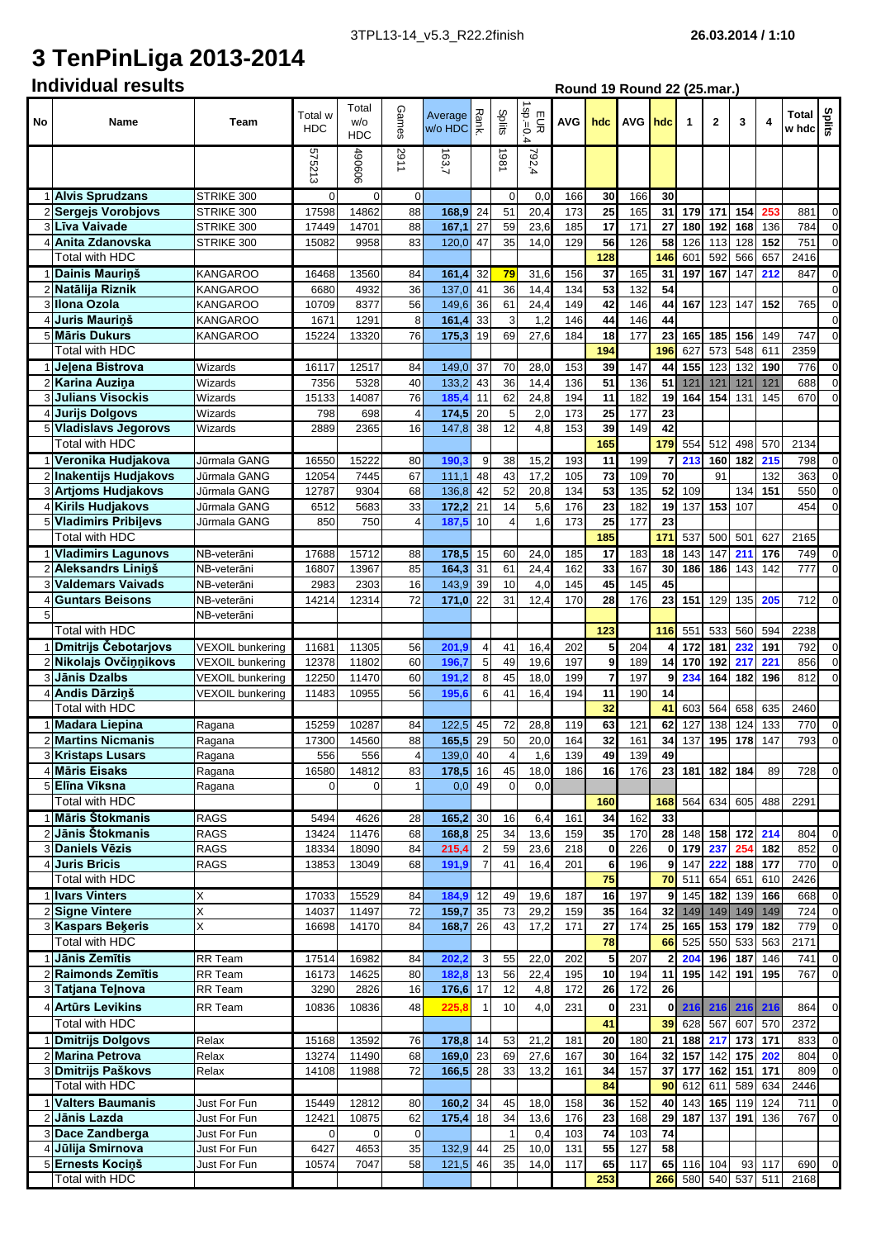## **3 TenPinLiga 2013-2014**

| No             | Name                                            | Team                                 | Total w<br><b>HDC</b> | Total<br>w/o<br>HDC | GameS                   | Average<br>Wo HDC |                 | Splits             | $1$ sp.=0.<br>EUR<br>4 | <b>AVG</b> | hdc             | <b>AVG</b> | hdc            | 1          | $\overline{2}$ | 3          | 4          | Total $\frac{9}{5}$<br>w hdc $\frac{9}{5}$ |                            |
|----------------|-------------------------------------------------|--------------------------------------|-----------------------|---------------------|-------------------------|-------------------|-----------------|--------------------|------------------------|------------|-----------------|------------|----------------|------------|----------------|------------|------------|--------------------------------------------|----------------------------|
|                |                                                 |                                      | 575213                | 490606              | 1162                    | 163,7             |                 | 1861               | 792,4                  |            |                 |            |                |            |                |            |            |                                            |                            |
|                | 1 Alvis Sprudzans                               | STRIKE 300                           | $\Omega$              | 0                   | $\overline{0}$          |                   |                 | $\mathbf 0$        | 0,0                    | 166        | 30              | 166        | 30             |            |                |            |            |                                            |                            |
|                | 2 Sergejs Vorobjovs                             | STRIKE 300                           | 17598                 | 14862               | 88                      | 168,9             | 24              | 51                 | 20,4                   | 173        | 25              | 165        | 31             | 179        | 171            | 154        | 253        | 881                                        | $\mathbf 0$                |
| 3              | <b>Līva Vaivade</b>                             | STRIKE 300                           | 17449                 | 14701               | 88                      | 167,1             | 27              | 59                 | 23,6                   | 185        | 17              | 171        | 27             | 180        | 192            | 168        | 136        | 784                                        | $\mathbf 0$                |
| 4              | Anita Zdanovska<br>Total with HDC               | STRIKE 300                           | 15082                 | 9958                | 83                      | 120,0             | 47              | 35                 | 14,0                   | 129        | 56<br>128       | 126        | 58<br>146      | 126<br>601 | 113<br>592     | 128<br>566 | 152<br>657 | 751<br>2416                                | $\mathbf{O}$               |
|                | 1 Dainis Maurinš                                | <b>KANGAROO</b>                      | 16468                 | 13560               | 84                      | 161,4             | 32              | 79                 | 31,6                   | 156        | 37              | 165        | 31             | 197        | 167            | 147        | 212        | 847                                        | $\mathbf 0$                |
|                | 2 Natālija Riznik                               | KANGAROO                             | 6680                  | 4932                | 36                      | 137,0             | 41              | 36                 | 14,4                   | 134        | 53              | 132        | 54             |            |                |            |            |                                            | $\mathbf 0$                |
|                | 3 Illona Ozola                                  | KANGAROO                             | 10709                 | 8377                | 56                      | 149,6             | 36              | 61                 | 24,4                   | 149        | 42              | 146        | 44             | 167        | 123            | 147        | 152        | 765                                        | $\mathbf 0$                |
| $\overline{4}$ | <b>Juris Maurinš</b>                            | KANGAROO                             | 1671                  | 1291                | 8                       | 161,4             | 33              | 3                  | 1,2                    | 146        | 44              | 146        | 44             |            |                |            |            |                                            | $\mathbf 0$                |
|                | 5 Māris Dukurs                                  | KANGAROO                             | 15224                 | 13320               | 76                      | 175,3             | 19              | 69                 | 27,6                   | 184        | 18              | 177        | 23             | 165        | 185            | 156        | 149        | 747                                        | $\mathbf 0$                |
|                | Total with HDC                                  |                                      |                       |                     |                         |                   |                 |                    |                        |            | 194             |            | 196            | 627        | 573            | 548        | 611        | 2359                                       |                            |
|                | Jelena Bistrova                                 | Wizards                              | 16117                 | 12517               | 84                      | 149,0             | 37              | 70                 | 28,0                   | 153        | 39              | 147        | 44             | 155        | 123            | 132        | 190        | 776                                        | $\mathbf 0$                |
| 2<br>3         | <b>Karina Auzina</b><br><b>Julians Visockis</b> | Wizards<br>Wizards                   | 7356<br>15133         | 5328<br>14087       | 40<br>76                | 133,2<br>185.     | 43<br>11        | 36<br>62           | 14,4<br>24,8           | 136<br>194 | 51<br>11        | 136<br>182 | 51<br>19       | 121<br>164 | 121<br>154     | 121<br>131 | 121<br>145 | 688<br>670                                 | $\mathbf 0$<br>$\mathbf 0$ |
|                | 4 Jurijs Dolgovs                                | Wizards                              | 798                   | 698                 | 4                       | 174,5             | 20              | 5                  | 2,0                    | 173        | 25              | 177        | 23             |            |                |            |            |                                            |                            |
|                | 5 Vladislavs Jegorovs                           | Wizards                              | 2889                  | 2365                | 16                      | 147,8             | 38              | 12                 | 4,8                    | 153        | 39              | 149        | 42             |            |                |            |            |                                            |                            |
|                | Total with HDC                                  |                                      |                       |                     |                         |                   |                 |                    |                        |            | 165             |            | 179            | 554        | 512            | 498        | 570        | 2134                                       |                            |
|                | 1 Veronika Hudjakova                            | Jūrmala GANG                         | 16550                 | 15222               | 80                      | 190.              | 9               | 38                 | 15,2                   | 193        | 11              | 199        | 7              | 213        | 160            | 182        | 215        | 798                                        | $\mathbf 0$                |
|                | 2 Inakentijs Hudjakovs                          | Jūrmala GANG                         | 12054                 | 7445                | 67                      | 111,1             | 48              | 43                 | 17,2                   | 105        | 73              | 109        | 70             |            | 91             |            | 132        | 363                                        | $\mathbf 0$                |
|                | 3 Artioms Hudjakovs                             | Jūrmala GANG                         | 12787                 | 9304                | 68                      | 136,8             | 42              | 52                 | 20,8                   | 134        | 53              | 135        | 52             | 109        |                | 134        | 151        | 550                                        | $\mathbf 0$                |
|                | 4 Kirils Hudjakovs                              | Jūrmala GANG                         | 6512                  | 5683                | 33                      | 172,2             | 21              | 14                 | 5,6                    | 176        | 23              | 182        | 19             | 137        | 153            | 107        |            | 454                                        | $\mathbf 0$                |
|                | 5 Vladimirs Pribilevs<br>Total with HDC         | Jūrmala GANG                         | 850                   | 750                 |                         | 187.5             | 10              | $\overline{4}$     | 1,6                    | 173        | 25<br>185       | 177        | 23<br>171      | 537        | 500            | 501        | 627        | 2165                                       |                            |
|                | <b>Vladimirs Lagunovs</b>                       | NB-veterāni                          | 17688                 | 15712               | 88                      | 178,5             | 15              | 60                 | 24,0                   | 185        | 17              | 183        | 18             | 143        | 147            | 211        | 176        | 749                                        | $\mathbf 0$                |
| 2              | Aleksandrs Lininš                               | NB-veterāni                          | 16807                 | 13967               | 85                      | 164,3             | 31              | 61                 | 24,4                   | 162        | 33              | 167        | 30             | 186        | 186            | 143        | 142        | 777                                        | $\mathbf{O}$               |
| 3              | <b>Valdemars Vaivads</b>                        | NB-veterāni                          | 2983                  | 2303                | 16                      | 143,9             | 39              | 10                 | 4,0                    | 145        | 45              | 145        | 45             |            |                |            |            |                                            |                            |
| 4              | <b>Guntars Beisons</b>                          | NB-veterāni                          | 14214                 | 12314               | 72                      | $171,0$ 22        |                 | 31                 | 12,4                   | 170        | 28              | 176        | 23             | 151        | 129            | 135        | 205        | 712                                        | $\mathbf 0$                |
| 5              |                                                 | NB-veterāni                          |                       |                     |                         |                   |                 |                    |                        |            |                 |            |                |            |                |            |            |                                            |                            |
|                | <b>Total with HDC</b>                           |                                      |                       |                     |                         |                   |                 |                    |                        |            | 123             |            | 116            | 551        | 533            | 560        | 594        | 2238                                       |                            |
|                | 1 Dmitrijs Čebotarjovs                          | VEXOIL bunkering                     | 11681                 | 11305               | 56                      | 201,9             | $\overline{4}$  | 41                 | 16,4                   | 202        | 5               | 204        | Δ              | 172        | 181            | 232        | 191        | 792                                        | $\mathbf 0$                |
|                | 2 Nikolajs Ovčinnikovs<br><b>Jānis Dzalbs</b>   | VEXOIL bunkering                     | 12378                 | 11802               | 60                      | 196.              | 5               | 49                 | 19.6                   | 197        | 9<br>7          | 189        | 14             | 170        | 192            | 217        | 221        | 856                                        | $\mathbf 0$                |
| 3<br>4         | Andis Dārziņš                                   | VEXOIL bunkering<br>VEXOIL bunkering | 12250<br>11483        | 11470<br>10955      | 60<br>56                | 191,2<br>195,6    | 8<br>6          | 45<br>41           | 18,0<br>16,4           | 199<br>194 | 11              | 197<br>190 | 9<br>14        | 234        | 164            | 182        | 196        | 812                                        | $\mathbf 0$                |
|                | <b>Total with HDC</b>                           |                                      |                       |                     |                         |                   |                 |                    |                        |            | $\overline{32}$ |            | 41             | 603        | 564            | 658        | 635        | 2460                                       |                            |
|                | 1 Madara Liepina                                | Ragana                               | 15259                 | 10287               | 84                      | 122,5             | 45              | 72                 | 28,8                   | 119        | 63              | 121        | 62             | 127        | 138            | 124        | 133        | 770                                        | $\mathbf 0$                |
|                | 2 Martins Nicmanis                              | Ragana                               | 17300                 | 14560               | 88                      | 165,5             | 29              | 50                 | 20,0                   | 164        | 32              | 161        | 34             | 137        | 195            | 178        | 147        | 793                                        | $\mathbf 0$                |
|                | 3 Kristaps Lusars                               | Ragana                               | 556                   | 556                 | $\overline{\mathbf{4}}$ | 139,0             | 40              | 4                  | 1.6                    | 139        | 49              | 139        | 49             |            |                |            |            |                                            |                            |
|                | 4 Māris Eisaks                                  | Ragana                               | 16580                 | 14812               | 83                      | 178,5 16          |                 | 45                 | 18,0                   | 186        | 16              | 176        | 23             | 181        | 182            | 184        | 89         | 728                                        | $\mathbf 0$                |
|                | 5 Elīna Vīksna<br><b>Total with HDC</b>         | Ragana                               | $\Omega$              | $\Omega$            |                         | $0,0$ 49          |                 | $\Omega$           | 0,0                    |            | 160             |            |                | 168 564    | 634            | 605        | 488        | 2291                                       |                            |
|                | 1 Māris Štokmanis                               | <b>RAGS</b>                          | 5494                  | 4626                | 28                      | 165,2             | 30 <sup>1</sup> | 16                 | 6,4                    | 161        | 34              | 162        | 33             |            |                |            |            |                                            |                            |
|                | 2 Jānis Štokmanis                               | RAGS                                 | 13424                 | 11476               | 68                      | $168,8$ 25        |                 | 34                 | 13,6                   | 159        | 35              | 170        |                | 28 148     |                | 158 172    | 214        | 804                                        | $\mathbf 0$                |
|                | 3 Daniels Vēzis                                 | RAGS                                 | 18334                 | 18090               | 84                      | 215,4             | $\overline{2}$  | 59                 | 23,6                   | 218        | 0               | 226        |                | $0$ 179    | 237            | 254        | 182        | 852                                        | $\mathbf 0$                |
|                | 4 Juris Bricis                                  | RAGS                                 | 13853                 | 13049               | 68                      | 191,9             | $\overline{7}$  | 41                 | 16,4                   | 201        | 6               | 196        |                | 9 147      | 222            | 188        | 177        | 770                                        | $\mathbf 0$                |
|                | Total with HDC                                  |                                      |                       |                     |                         |                   |                 |                    |                        |            | 75              |            | 70             | 511        | 654            | 651        | 610        | 2426                                       |                            |
|                | 1 Ivars Vinters                                 | Χ                                    | 17033                 | 15529               | 84                      | 184,9             | 12              | 49                 | 19,6                   | 187        | 16              | 197        |                | 9 145      | 182            | 139        | 166        | 668                                        | $\mathbf 0$                |
|                | 2 Signe Vintere                                 | Χ                                    | 14037                 | 11497               | 72                      | 159,7 35          |                 | 73                 | 29,2                   | 159        | 35              | 164        | 32             | 149        |                | 149 149    | 149        | 724                                        | $\mathbf 0$                |
|                | 3 Kaspars Bekeris<br>Total with HDC             | Χ                                    | 16698                 | 14170               | 84                      | 168,7 26          |                 | 43                 | 17,2                   | 171        | 27<br>78        | 174        | 25<br>66       | 165<br>525 | 153<br>550     | 179<br>533 | 182<br>563 | 779<br>2171                                | $\mathbf 0$                |
|                | 1 Jānis Zemītis                                 | RR Team                              | 17514                 | 16982               | 84                      | 202,2             | 3               | 55                 | 22,0                   | 202        | 5               | 207        | $\overline{2}$ | 204        | 196            | 187        | 146        | 741                                        | $\mathbf 0$                |
|                | 2 Raimonds Zemītis                              | RR Team                              | 16173                 | 14625               | 80                      | 182,8             | 13              | 56                 | 22,4                   | 195        | 10              | 194        | 11             | 195        | 142            | 191        | 195        | 767                                        | $\mathbf 0$                |
|                | 3 Tatjana Telnova                               | RR Team                              | 3290                  | 2826                | 16                      | 176,6 17          |                 | 12                 | 4,8                    | 172        | 26              | 172        | 26             |            |                |            |            |                                            |                            |
|                | 4 Artūrs Levikins                               | RR Team                              | 10836                 | 10836               | 48                      | 225.8             | 1               | 10                 | 4,0                    | 231        | 0               | 231        |                | $0$   216  | 216            | 216        | 216        | 864                                        | $\overline{0}$             |
|                | <b>Total with HDC</b>                           |                                      |                       |                     |                         |                   |                 |                    |                        |            | 41              |            |                | 39 628     | 567            | 607        | 570        | 2372                                       |                            |
|                | 1 Dmitrijs Dolgovs                              | Relax                                | 15168                 | 13592               | 76                      | 178,8 14          |                 | 53                 | 21,2                   | 181        | 20              | 180        | 21             | 188        | 217            | 173        | 171        | 833                                        | $\mathbf 0$                |
|                | 2 Marina Petrova                                | Relax                                | 13274                 | 11490               | 68                      | 169,0 23          |                 | 69                 | 27,6                   | 167        | 30              | 164        | 32             | 157        | 142            | 175        | 202        | 804                                        | $\overline{0}$             |
|                | 3 Dmitrijs Paškovs                              | Relax                                | 14108                 | 11988               | 72                      | 166,5 28          |                 | 33                 | 13,2                   | 161        | 34              | 157        |                | 37 177     | 162            | 151        | 171        | 809                                        | $\mathbf 0$                |
|                | <b>Total with HDC</b>                           |                                      |                       |                     |                         |                   |                 |                    |                        |            | 84              |            |                | 90 612     | 611            | 589        | 634        | 2446                                       |                            |
|                | 1 Valters Baumanis                              | Just For Fun                         | 15449                 | 12812               | 80                      | 160,2             | 34              | 45                 | 18,0                   | 158        | 36              | 152        |                | 40 143     | 165            | 119        | 124        | 711                                        | $\mathbf 0$                |
|                | 2 Jānis Lazda<br>3 Dace Zandberga               | Just For Fun<br>Just For Fun         | 12421<br>$\mathbf 0$  | 10875<br>0          | 62<br>$\mathbf 0$       | $175,4$ 18        |                 | 34<br>$\mathbf{1}$ | 13,6<br>0,4            | 176<br>103 | 23<br>74        | 168<br>103 | 29<br>74       | 187        | 137            | 191        | 136        | 767                                        | $\mathbf 0$                |
|                | 4 Jūlija Smirnova                               | Just For Fun                         | 6427                  | 4653                | 35                      | 132,9 44          |                 | 25                 | 10,0                   | 131        | 55              | 127        | 58             |            |                |            |            |                                            |                            |
|                | 5 Ernests Kociņš                                | Just For Fun                         | 10574                 | 7047                | 58                      | $121,5$ 46        |                 | 35                 | 14,0                   | 117        | 65              | 117        |                | 65 116     | 104            |            | 93 117     | 690                                        | $\overline{0}$             |
|                | Total with HDC                                  |                                      |                       |                     |                         |                   |                 |                    |                        |            | 253             |            |                | 266 580    | 540            | 537        | 511        | 2168                                       |                            |